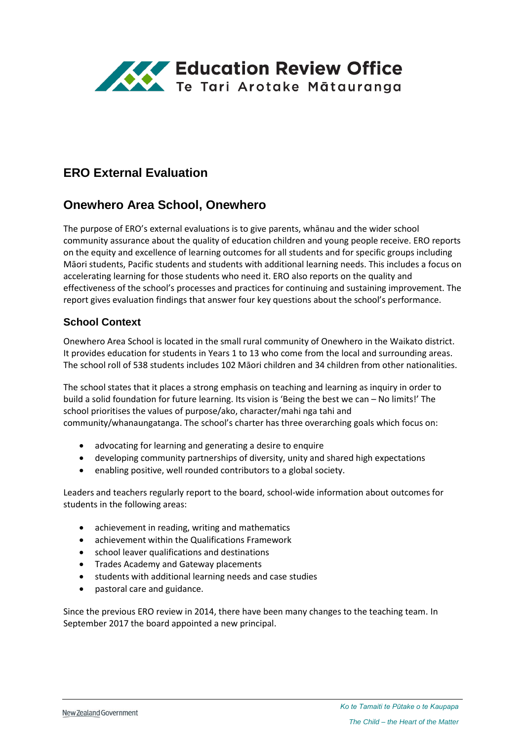

# **ERO External Evaluation**

## **Onewhero Area School, Onewhero**

The purpose of ERO's external evaluations is to give parents, whānau and the wider school community assurance about the quality of education children and young people receive. ERO reports on the equity and excellence of learning outcomes for all students and for specific groups including Māori students, Pacific students and students with additional learning needs. This includes a focus on accelerating learning for those students who need it. ERO also reports on the quality and effectiveness of the school's processes and practices for continuing and sustaining improvement. The report gives evaluation findings that answer four key questions about the school's performance.

### **School Context**

Onewhero Area School is located in the small rural community of Onewhero in the Waikato district. It provides education for students in Years 1 to 13 who come from the local and surrounding areas. The school roll of 538 students includes 102 Māori children and 34 children from other nationalities.

The school states that it places a strong emphasis on teaching and learning as inquiry in order to build a solid foundation for future learning. Its vision is 'Being the best we can – No limits!' The school prioritises the values of purpose/ako, character/mahi nga tahi and community/whanaungatanga. The school's charter has three overarching goals which focus on:

- advocating for learning and generating a desire to enquire
- developing community partnerships of diversity, unity and shared high expectations
- enabling positive, well rounded contributors to a global society.

Leaders and teachers regularly report to the board, school-wide information about outcomes for students in the following areas:

- achievement in reading, writing and mathematics
- achievement within the Qualifications Framework
- school leaver qualifications and destinations
- Trades Academy and Gateway placements
- **•** students with additional learning needs and case studies
- pastoral care and guidance.

Since the previous ERO review in 2014, there have been many changes to the teaching team. In September 2017 the board appointed a new principal.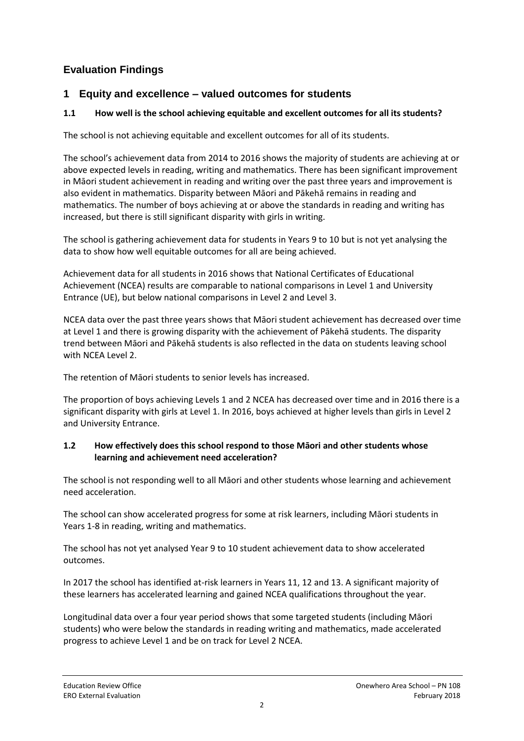## **Evaluation Findings**

### **1 Equity and excellence – valued outcomes for students**

### **1.1 How well is the school achieving equitable and excellent outcomes for all its students?**

The school is not achieving equitable and excellent outcomes for all of its students.

The school's achievement data from 2014 to 2016 shows the majority of students are achieving at or above expected levels in reading, writing and mathematics. There has been significant improvement in Māori student achievement in reading and writing over the past three years and improvement is also evident in mathematics. Disparity between Māori and Pākehā remains in reading and mathematics. The number of boys achieving at or above the standards in reading and writing has increased, but there is still significant disparity with girls in writing.

The school is gathering achievement data for students in Years 9 to 10 but is not yet analysing the data to show how well equitable outcomes for all are being achieved.

Achievement data for all students in 2016 shows that National Certificates of Educational Achievement (NCEA) results are comparable to national comparisons in Level 1 and University Entrance (UE), but below national comparisons in Level 2 and Level 3.

NCEA data over the past three years shows that Māori student achievement has decreased over time at Level 1 and there is growing disparity with the achievement of Pākehā students. The disparity trend between Māori and Pākehā students is also reflected in the data on students leaving school with NCEA Level 2.

The retention of Māori students to senior levels has increased.

The proportion of boys achieving Levels 1 and 2 NCEA has decreased over time and in 2016 there is a significant disparity with girls at Level 1. In 2016, boys achieved at higher levels than girls in Level 2 and University Entrance.

#### **1.2 How effectively does this school respond to those Māori and other students whose learning and achievement need acceleration?**

The school is not responding well to all Māori and other students whose learning and achievement need acceleration.

The school can show accelerated progress for some at risk learners, including Māori students in Years 1-8 in reading, writing and mathematics.

The school has not yet analysed Year 9 to 10 student achievement data to show accelerated outcomes.

In 2017 the school has identified at-risk learners in Years 11, 12 and 13. A significant majority of these learners has accelerated learning and gained NCEA qualifications throughout the year.

Longitudinal data over a four year period shows that some targeted students (including Māori students) who were below the standards in reading writing and mathematics, made accelerated progress to achieve Level 1 and be on track for Level 2 NCEA.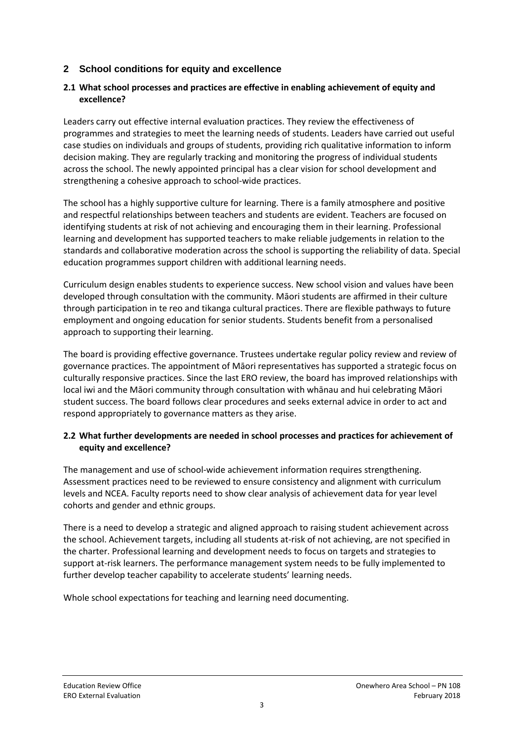### **2 School conditions for equity and excellence**

#### **2.1 What school processes and practices are effective in enabling achievement of equity and excellence?**

Leaders carry out effective internal evaluation practices. They review the effectiveness of programmes and strategies to meet the learning needs of students. Leaders have carried out useful case studies on individuals and groups of students, providing rich qualitative information to inform decision making. They are regularly tracking and monitoring the progress of individual students across the school. The newly appointed principal has a clear vision for school development and strengthening a cohesive approach to school-wide practices.

The school has a highly supportive culture for learning. There is a family atmosphere and positive and respectful relationships between teachers and students are evident. Teachers are focused on identifying students at risk of not achieving and encouraging them in their learning. Professional learning and development has supported teachers to make reliable judgements in relation to the standards and collaborative moderation across the school is supporting the reliability of data. Special education programmes support children with additional learning needs.

Curriculum design enables students to experience success. New school vision and values have been developed through consultation with the community. Māori students are affirmed in their culture through participation in te reo and tikanga cultural practices. There are flexible pathways to future employment and ongoing education for senior students. Students benefit from a personalised approach to supporting their learning.

The board is providing effective governance. Trustees undertake regular policy review and review of governance practices. The appointment of Māori representatives has supported a strategic focus on culturally responsive practices. Since the last ERO review, the board has improved relationships with local iwi and the Māori community through consultation with whānau and hui celebrating Māori student success. The board follows clear procedures and seeks external advice in order to act and respond appropriately to governance matters as they arise.

#### **2.2 What further developments are needed in school processes and practices for achievement of equity and excellence?**

The management and use of school-wide achievement information requires strengthening. Assessment practices need to be reviewed to ensure consistency and alignment with curriculum levels and NCEA. Faculty reports need to show clear analysis of achievement data for year level cohorts and gender and ethnic groups.

There is a need to develop a strategic and aligned approach to raising student achievement across the school. Achievement targets, including all students at-risk of not achieving, are not specified in the charter. Professional learning and development needs to focus on targets and strategies to support at-risk learners. The performance management system needs to be fully implemented to further develop teacher capability to accelerate students' learning needs.

Whole school expectations for teaching and learning need documenting.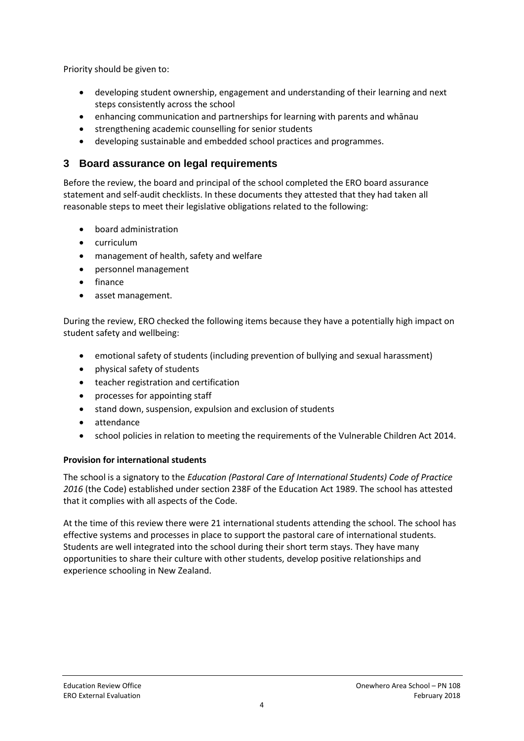Priority should be given to:

- developing student ownership, engagement and understanding of their learning and next steps consistently across the school
- enhancing communication and partnerships for learning with parents and whānau
- **•** strengthening academic counselling for senior students
- developing sustainable and embedded school practices and programmes.

## **3 Board assurance on legal requirements**

Before the review, the board and principal of the school completed the ERO board assurance statement and self-audit checklists. In these documents they attested that they had taken all reasonable steps to meet their legislative obligations related to the following:

- board administration
- curriculum
- management of health, safety and welfare
- personnel management
- finance
- asset management.

During the review, ERO checked the following items because they have a potentially high impact on student safety and wellbeing:

- emotional safety of students (including prevention of bullying and sexual harassment)
- physical safety of students
- teacher registration and certification
- processes for appointing staff
- stand down, suspension, expulsion and exclusion of students
- attendance
- school policies in relation to meeting the requirements of the Vulnerable Children Act 2014.

#### **Provision for international students**

The school is a signatory to the *Education (Pastoral Care of International Students) Code of Practice 2016* (the Code) established under section 238F of the Education Act 1989. The school has attested that it complies with all aspects of the Code.

At the time of this review there were 21 international students attending the school. The school has effective systems and processes in place to support the pastoral care of international students. Students are well integrated into the school during their short term stays. They have many opportunities to share their culture with other students, develop positive relationships and experience schooling in New Zealand.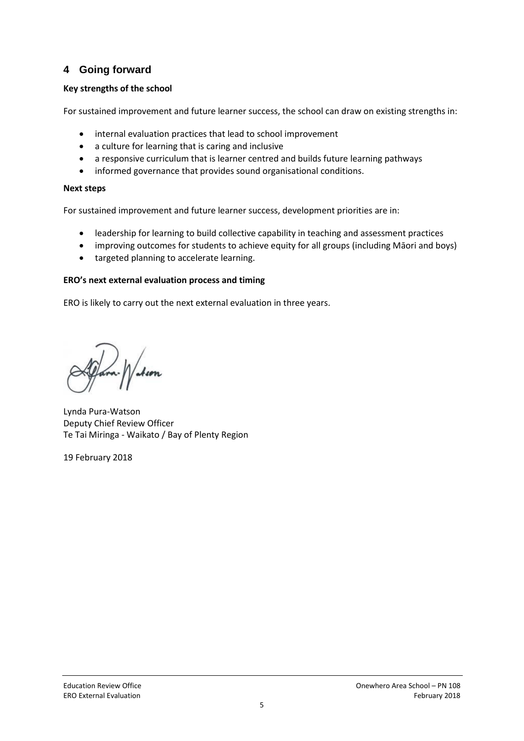## **4 Going forward**

### **Key strengths of the school**

For sustained improvement and future learner success, the school can draw on existing strengths in:

- internal evaluation practices that lead to school improvement
- a culture for learning that is caring and inclusive
- a responsive curriculum that is learner centred and builds future learning pathways
- informed governance that provides sound organisational conditions.

#### **Next steps**

For sustained improvement and future learner success, development priorities are in:

- leadership for learning to build collective capability in teaching and assessment practices
- improving outcomes for students to achieve equity for all groups (including Māori and boys)
- targeted planning to accelerate learning.

#### **ERO's next external evaluation process and timing**

ERO is likely to carry out the next external evaluation in three years.

l.<br>Ison

Lynda Pura-Watson Deputy Chief Review Officer Te Tai Miringa - Waikato / Bay of Plenty Region

19 February 2018